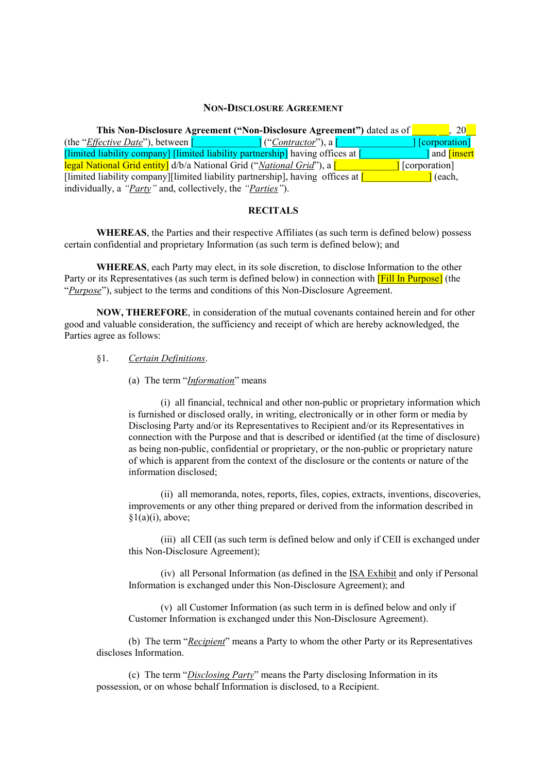#### **NON-DISCLOSURE AGREEMENT**

**This Non-Disclosure Agreement ("Non-Disclosure Agreement")** dated as of  $\begin{bmatrix} 20 \end{bmatrix}$ (the "*Effective Date*"), between [\_\_\_\_\_\_\_\_\_\_\_\_\_] ("*Contractor*"), a [\_\_\_\_\_\_\_\_\_\_\_\_\_\_\_] [corporation] [limited liability company] [limited liability partnership] having offices at [\_\_\_\_\_\_\_\_\_\_\_\_\_] and [insert legal National Grid entity] d/b/a National Grid ("*National Grid*"), a [\_\_\_\_\_\_\_\_\_\_\_\_] [corporation] [limited liability company][limited liability partnership], having offices at  $\begin{bmatrix} \cdot & \cdot & \cdot \\ \cdot & \cdot & \cdot \\ \cdot & \cdot & \cdot \end{bmatrix}$  (each, individually, a *"Party"* and, collectively, the *"Parties"*).

#### **RECITALS**

**WHEREAS**, the Parties and their respective Affiliates (as such term is defined below) possess certain confidential and proprietary Information (as such term is defined below); and

**WHEREAS**, each Party may elect, in its sole discretion, to disclose Information to the other Party or its Representatives (as such term is defined below) in connection with **[Fill In Purpose]** (the "*Purpose*"), subject to the terms and conditions of this Non-Disclosure Agreement.

**NOW, THEREFORE**, in consideration of the mutual covenants contained herein and for other good and valuable consideration, the sufficiency and receipt of which are hereby acknowledged, the Parties agree as follows:

#### §1. *Certain Definitions*.

#### (a) The term "*Information*" means

(i) all financial, technical and other non-public or proprietary information which is furnished or disclosed orally, in writing, electronically or in other form or media by Disclosing Party and/or its Representatives to Recipient and/or its Representatives in connection with the Purpose and that is described or identified (at the time of disclosure) as being non-public, confidential or proprietary, or the non-public or proprietary nature of which is apparent from the context of the disclosure or the contents or nature of the information disclosed;

(ii) all memoranda, notes, reports, files, copies, extracts, inventions, discoveries, improvements or any other thing prepared or derived from the information described in  $§1(a)(i)$ , above;

(iii) all CEII (as such term is defined below and only if CEII is exchanged under this Non-Disclosure Agreement);

(iv) all Personal Information (as defined in the ISA Exhibit and only if Personal Information is exchanged under this Non-Disclosure Agreement); and

(v) all Customer Information (as such term in is defined below and only if Customer Information is exchanged under this Non-Disclosure Agreement).

(b) The term "*Recipient*" means a Party to whom the other Party or its Representatives discloses Information.

(c) The term "*Disclosing Party*" means the Party disclosing Information in its possession, or on whose behalf Information is disclosed, to a Recipient.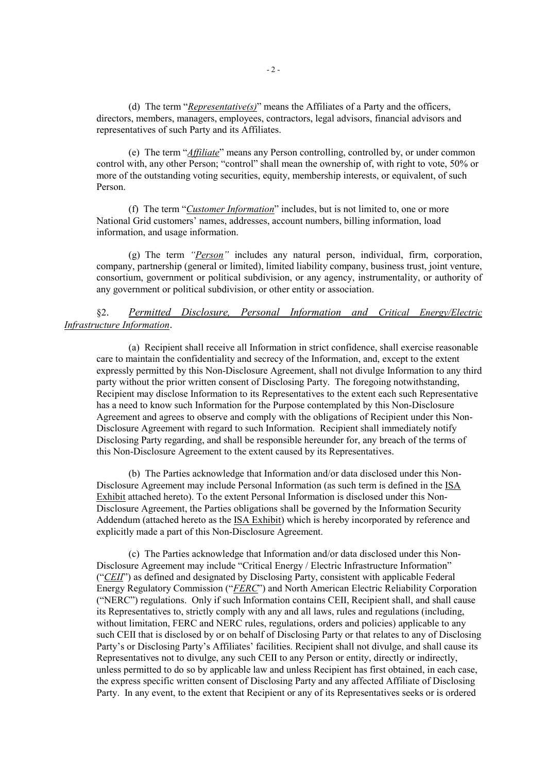(d) The term "*Representative(s)*" means the Affiliates of a Party and the officers, directors, members, managers, employees, contractors, legal advisors, financial advisors and representatives of such Party and its Affiliates.

(e) The term "*Affiliate*" means any Person controlling, controlled by, or under common control with, any other Person; "control" shall mean the ownership of, with right to vote, 50% or more of the outstanding voting securities, equity, membership interests, or equivalent, of such Person.

(f) The term "*Customer Information*" includes, but is not limited to, one or more National Grid customers' names, addresses, account numbers, billing information, load information, and usage information.

(g) The term *"Person"* includes any natural person, individual, firm, corporation, company, partnership (general or limited), limited liability company, business trust, joint venture, consortium, government or political subdivision, or any agency, instrumentality, or authority of any government or political subdivision, or other entity or association.

## §2. *Permitted Disclosure, Personal Information and Critical Energy/Electric Infrastructure Information*.

(a) Recipient shall receive all Information in strict confidence, shall exercise reasonable care to maintain the confidentiality and secrecy of the Information, and, except to the extent expressly permitted by this Non-Disclosure Agreement, shall not divulge Information to any third party without the prior written consent of Disclosing Party. The foregoing notwithstanding, Recipient may disclose Information to its Representatives to the extent each such Representative has a need to know such Information for the Purpose contemplated by this Non-Disclosure Agreement and agrees to observe and comply with the obligations of Recipient under this Non-Disclosure Agreement with regard to such Information. Recipient shall immediately notify Disclosing Party regarding, and shall be responsible hereunder for, any breach of the terms of this Non-Disclosure Agreement to the extent caused by its Representatives.

(b) The Parties acknowledge that Information and/or data disclosed under this Non-Disclosure Agreement may include Personal Information (as such term is defined in the ISA Exhibit attached hereto). To the extent Personal Information is disclosed under this Non-Disclosure Agreement, the Parties obligations shall be governed by the Information Security Addendum (attached hereto as the ISA Exhibit) which is hereby incorporated by reference and explicitly made a part of this Non-Disclosure Agreement.

(c) The Parties acknowledge that Information and/or data disclosed under this Non-Disclosure Agreement may include "Critical Energy / Electric Infrastructure Information" ("*CEII*") as defined and designated by Disclosing Party, consistent with applicable Federal Energy Regulatory Commission ("*FERC*") and North American Electric Reliability Corporation ("NERC") regulations. Only if such Information contains CEII, Recipient shall, and shall cause its Representatives to, strictly comply with any and all laws, rules and regulations (including, without limitation, FERC and NERC rules, regulations, orders and policies) applicable to any such CEII that is disclosed by or on behalf of Disclosing Party or that relates to any of Disclosing Party's or Disclosing Party's Affiliates' facilities. Recipient shall not divulge, and shall cause its Representatives not to divulge, any such CEII to any Person or entity, directly or indirectly, unless permitted to do so by applicable law and unless Recipient has first obtained, in each case, the express specific written consent of Disclosing Party and any affected Affiliate of Disclosing Party. In any event, to the extent that Recipient or any of its Representatives seeks or is ordered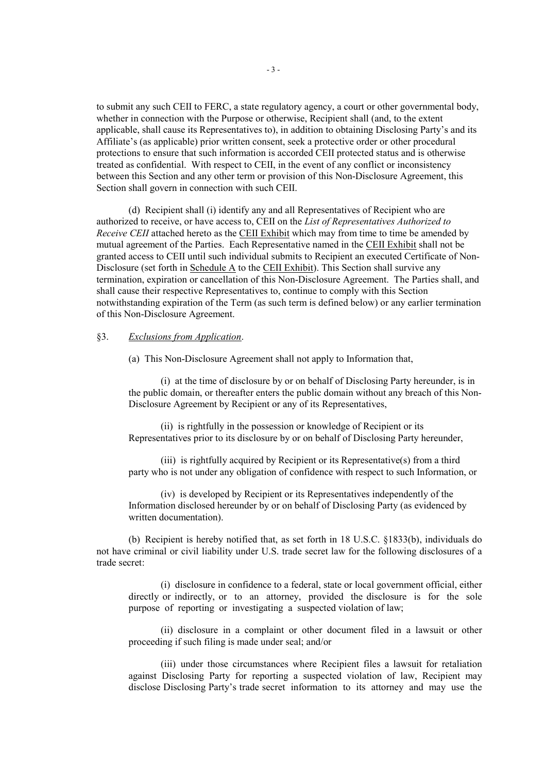to submit any such CEII to FERC, a state regulatory agency, a court or other governmental body, whether in connection with the Purpose or otherwise. Recipient shall (and, to the extent applicable, shall cause its Representatives to), in addition to obtaining Disclosing Party's and its Affiliate's (as applicable) prior written consent, seek a protective order or other procedural protections to ensure that such information is accorded CEII protected status and is otherwise treated as confidential. With respect to CEII, in the event of any conflict or inconsistency between this Section and any other term or provision of this Non-Disclosure Agreement, this Section shall govern in connection with such CEII.

(d) Recipient shall (i) identify any and all Representatives of Recipient who are authorized to receive, or have access to, CEII on the *List of Representatives Authorized to Receive CEII* attached hereto as the **CEII Exhibit** which may from time to time be amended by mutual agreement of the Parties. Each Representative named in the CEII Exhibit shall not be granted access to CEII until such individual submits to Recipient an executed Certificate of Non-Disclosure (set forth in Schedule A to the CEII Exhibit). This Section shall survive any termination, expiration or cancellation of this Non-Disclosure Agreement. The Parties shall, and shall cause their respective Representatives to, continue to comply with this Section notwithstanding expiration of the Term (as such term is defined below) or any earlier termination of this Non-Disclosure Agreement.

#### §3. *Exclusions from Application*.

(a) This Non-Disclosure Agreement shall not apply to Information that,

(i) at the time of disclosure by or on behalf of Disclosing Party hereunder, is in the public domain, or thereafter enters the public domain without any breach of this Non-Disclosure Agreement by Recipient or any of its Representatives,

(ii) is rightfully in the possession or knowledge of Recipient or its Representatives prior to its disclosure by or on behalf of Disclosing Party hereunder,

(iii) is rightfully acquired by Recipient or its Representative(s) from a third party who is not under any obligation of confidence with respect to such Information, or

(iv) is developed by Recipient or its Representatives independently of the Information disclosed hereunder by or on behalf of Disclosing Party (as evidenced by written documentation).

(b) Recipient is hereby notified that, as set forth in 18 U.S.C. §1833(b), individuals do not have criminal or civil liability under U.S. trade secret law for the following disclosures of a trade secret:

(i) disclosure in confidence to a federal, state or local government official, either directly or indirectly, or to an attorney, provided the disclosure is for the sole purpose of reporting or investigating a suspected violation of law;

(ii) disclosure in a complaint or other document filed in a lawsuit or other proceeding if such filing is made under seal; and/or

(iii) under those circumstances where Recipient files a lawsuit for retaliation against Disclosing Party for reporting a suspected violation of law, Recipient may disclose Disclosing Party's trade secret information to its attorney and may use the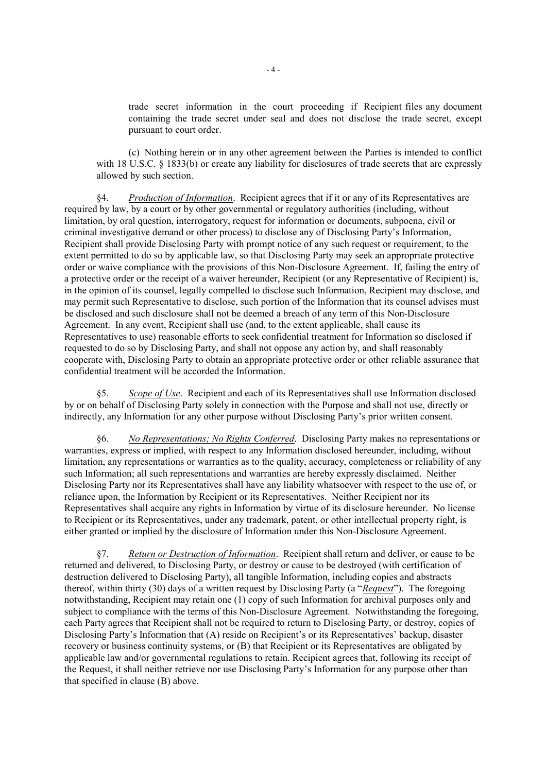trade secret information in the court proceeding if Recipient files any document containing the trade secret under seal and does not disclose the trade secret, except pursuant to court order.

(c) Nothing herein or in any other agreement between the Parties is intended to conflict with 18 U.S.C. § 1833(b) or create any liability for disclosures of trade secrets that are expressly allowed by such section.

§4. *Production of Information*. Recipient agrees that if it or any of its Representatives are required by law, by a court or by other governmental or regulatory authorities (including, without limitation, by oral question, interrogatory, request for information or documents, subpoena, civil or criminal investigative demand or other process) to disclose any of Disclosing Party's Information, Recipient shall provide Disclosing Party with prompt notice of any such request or requirement, to the extent permitted to do so by applicable law, so that Disclosing Party may seek an appropriate protective order or waive compliance with the provisions of this Non-Disclosure Agreement. If, failing the entry of a protective order or the receipt of a waiver hereunder, Recipient (or any Representative of Recipient) is, in the opinion of its counsel, legally compelled to disclose such Information, Recipient may disclose, and may permit such Representative to disclose, such portion of the Information that its counsel advises must be disclosed and such disclosure shall not be deemed a breach of any term of this Non-Disclosure Agreement. In any event, Recipient shall use (and, to the extent applicable, shall cause its Representatives to use) reasonable efforts to seek confidential treatment for Information so disclosed if requested to do so by Disclosing Party, and shall not oppose any action by, and shall reasonably cooperate with, Disclosing Party to obtain an appropriate protective order or other reliable assurance that confidential treatment will be accorded the Information.

§5. *Scope of Use*. Recipient and each of its Representatives shall use Information disclosed by or on behalf of Disclosing Party solely in connection with the Purpose and shall not use, directly or indirectly, any Information for any other purpose without Disclosing Party's prior written consent.

§6. *No Representations; No Rights Conferred*. Disclosing Party makes no representations or warranties, express or implied, with respect to any Information disclosed hereunder, including, without limitation, any representations or warranties as to the quality, accuracy, completeness or reliability of any such Information; all such representations and warranties are hereby expressly disclaimed. Neither Disclosing Party nor its Representatives shall have any liability whatsoever with respect to the use of, or reliance upon, the Information by Recipient or its Representatives. Neither Recipient nor its Representatives shall acquire any rights in Information by virtue of its disclosure hereunder. No license to Recipient or its Representatives, under any trademark, patent, or other intellectual property right, is either granted or implied by the disclosure of Information under this Non-Disclosure Agreement.

§7. *Return or Destruction of Information*. Recipient shall return and deliver, or cause to be returned and delivered, to Disclosing Party, or destroy or cause to be destroyed (with certification of destruction delivered to Disclosing Party), all tangible Information, including copies and abstracts thereof, within thirty (30) days of a written request by Disclosing Party (a "*Request*"). The foregoing notwithstanding, Recipient may retain one (1) copy of such Information for archival purposes only and subject to compliance with the terms of this Non-Disclosure Agreement. Notwithstanding the foregoing, each Party agrees that Recipient shall not be required to return to Disclosing Party, or destroy, copies of Disclosing Party's Information that (A) reside on Recipient's or its Representatives' backup, disaster recovery or business continuity systems, or (B) that Recipient or its Representatives are obligated by applicable law and/or governmental regulations to retain. Recipient agrees that, following its receipt of the Request, it shall neither retrieve nor use Disclosing Party's Information for any purpose other than that specified in clause (B) above.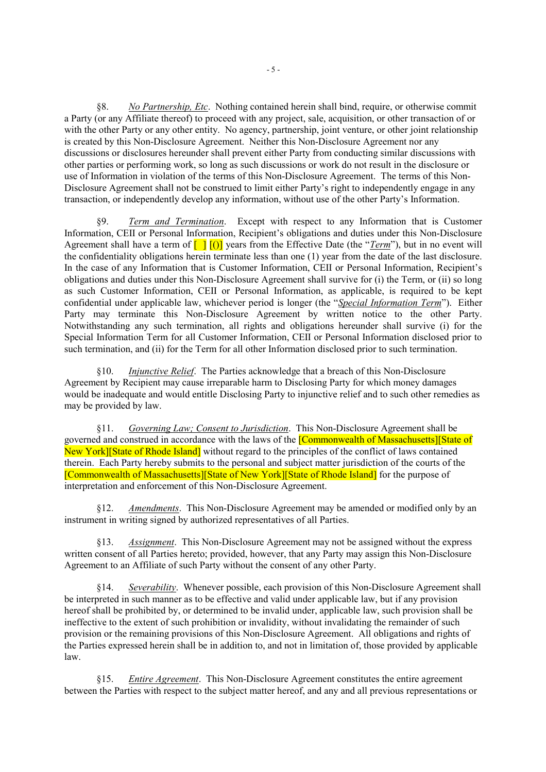§8. *No Partnership, Etc*. Nothing contained herein shall bind, require, or otherwise commit a Party (or any Affiliate thereof) to proceed with any project, sale, acquisition, or other transaction of or with the other Party or any other entity. No agency, partnership, joint venture, or other joint relationship is created by this Non-Disclosure Agreement. Neither this Non-Disclosure Agreement nor any discussions or disclosures hereunder shall prevent either Party from conducting similar discussions with other parties or performing work, so long as such discussions or work do not result in the disclosure or use of Information in violation of the terms of this Non-Disclosure Agreement. The terms of this Non-Disclosure Agreement shall not be construed to limit either Party's right to independently engage in any transaction, or independently develop any information, without use of the other Party's Information.

§9. *Term and Termination*. Except with respect to any Information that is Customer Information, CEII or Personal Information, Recipient's obligations and duties under this Non-Disclosure Agreement shall have a term of  $\Box$   $\Box$   $\Box$  years from the Effective Date (the "*Term*"), but in no event will the confidentiality obligations herein terminate less than one (1) year from the date of the last disclosure. In the case of any Information that is Customer Information, CEII or Personal Information, Recipient's obligations and duties under this Non-Disclosure Agreement shall survive for (i) the Term, or (ii) so long as such Customer Information, CEII or Personal Information, as applicable, is required to be kept confidential under applicable law, whichever period is longer (the "*Special Information Term*"). Either Party may terminate this Non-Disclosure Agreement by written notice to the other Party. Notwithstanding any such termination, all rights and obligations hereunder shall survive (i) for the Special Information Term for all Customer Information, CEII or Personal Information disclosed prior to such termination, and (ii) for the Term for all other Information disclosed prior to such termination.

§10. *Injunctive Relief*. The Parties acknowledge that a breach of this Non-Disclosure Agreement by Recipient may cause irreparable harm to Disclosing Party for which money damages would be inadequate and would entitle Disclosing Party to injunctive relief and to such other remedies as may be provided by law.

§11. *Governing Law; Consent to Jurisdiction*. This Non-Disclosure Agreement shall be governed and construed in accordance with the laws of the [Commonwealth of Massachusetts][State of New York][State of Rhode Island] without regard to the principles of the conflict of laws contained therein. Each Party hereby submits to the personal and subject matter jurisdiction of the courts of the [Commonwealth of Massachusetts][State of New York][State of Rhode Island] for the purpose of interpretation and enforcement of this Non-Disclosure Agreement.

§12. *Amendments*. This Non-Disclosure Agreement may be amended or modified only by an instrument in writing signed by authorized representatives of all Parties.

§13. *Assignment*. This Non-Disclosure Agreement may not be assigned without the express written consent of all Parties hereto; provided, however, that any Party may assign this Non-Disclosure Agreement to an Affiliate of such Party without the consent of any other Party.

§14. *Severability*. Whenever possible, each provision of this Non-Disclosure Agreement shall be interpreted in such manner as to be effective and valid under applicable law, but if any provision hereof shall be prohibited by, or determined to be invalid under, applicable law, such provision shall be ineffective to the extent of such prohibition or invalidity, without invalidating the remainder of such provision or the remaining provisions of this Non-Disclosure Agreement. All obligations and rights of the Parties expressed herein shall be in addition to, and not in limitation of, those provided by applicable law.

§15. *Entire Agreement*. This Non-Disclosure Agreement constitutes the entire agreement between the Parties with respect to the subject matter hereof, and any and all previous representations or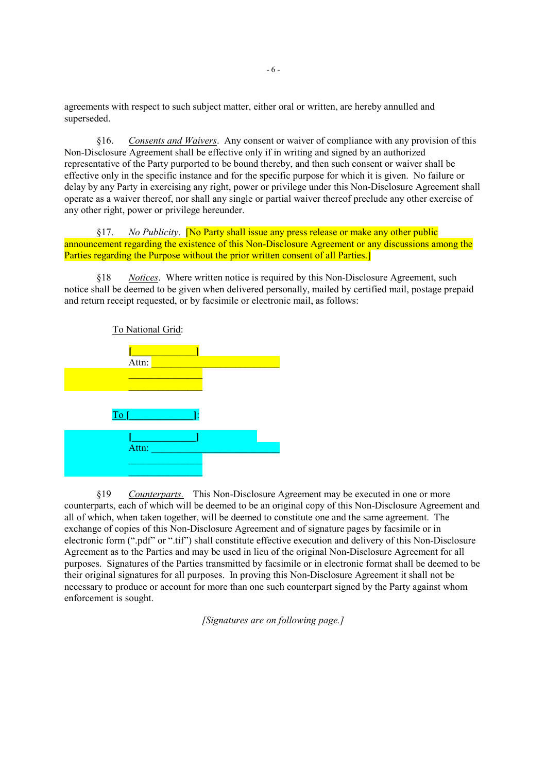agreements with respect to such subject matter, either oral or written, are hereby annulled and superseded.

§16. *Consents and Waivers*. Any consent or waiver of compliance with any provision of this Non-Disclosure Agreement shall be effective only if in writing and signed by an authorized representative of the Party purported to be bound thereby, and then such consent or waiver shall be effective only in the specific instance and for the specific purpose for which it is given. No failure or delay by any Party in exercising any right, power or privilege under this Non-Disclosure Agreement shall operate as a waiver thereof, nor shall any single or partial waiver thereof preclude any other exercise of any other right, power or privilege hereunder.

§17. *No Publicity*. [No Party shall issue any press release or make any other public announcement regarding the existence of this Non-Disclosure Agreement or any discussions among the Parties regarding the Purpose without the prior written consent of all Parties.

§18 *Notices*. Where written notice is required by this Non-Disclosure Agreement, such notice shall be deemed to be given when delivered personally, mailed by certified mail, postage prepaid and return receipt requested, or by facsimile or electronic mail, as follows:



§19 *Counterparts.* This Non-Disclosure Agreement may be executed in one or more counterparts, each of which will be deemed to be an original copy of this Non-Disclosure Agreement and all of which, when taken together, will be deemed to constitute one and the same agreement. The exchange of copies of this Non-Disclosure Agreement and of signature pages by facsimile or in electronic form (".pdf" or ".tif") shall constitute effective execution and delivery of this Non-Disclosure Agreement as to the Parties and may be used in lieu of the original Non-Disclosure Agreement for all purposes. Signatures of the Parties transmitted by facsimile or in electronic format shall be deemed to be their original signatures for all purposes. In proving this Non-Disclosure Agreement it shall not be necessary to produce or account for more than one such counterpart signed by the Party against whom enforcement is sought.

*[Signatures are on following page.]*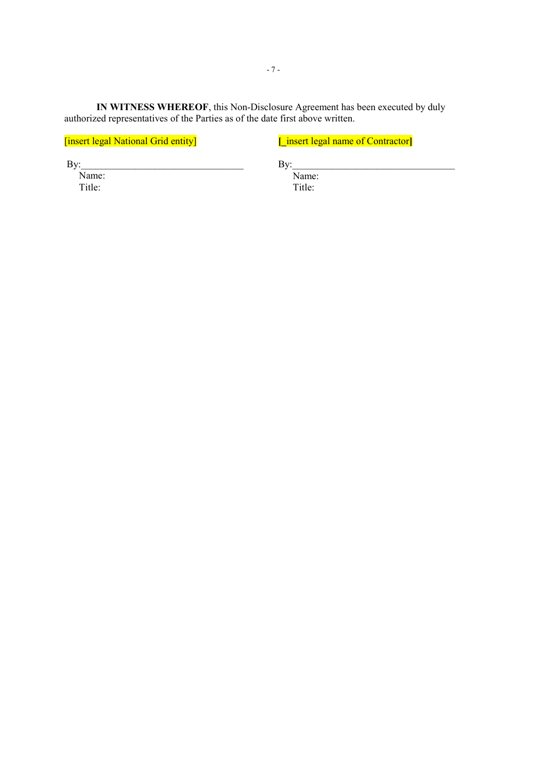**IN WITNESS WHEREOF**, this Non-Disclosure Agreement has been executed by duly authorized representatives of the Parties as of the date first above written.

[insert legal National Grid entity]

**[\_**insert legal name of Contractor**]**

 $By:$ 

Name: Title:

 $\mathbf{By:}$ 

Name: Title: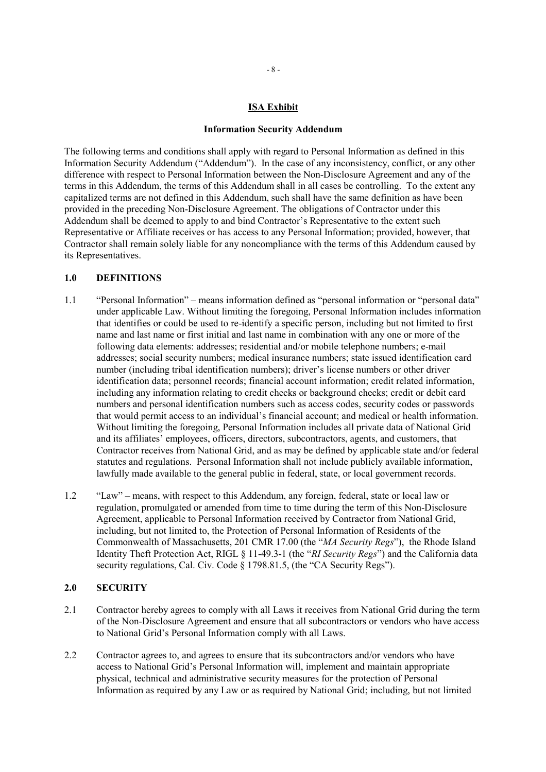#### **ISA Exhibit**

#### **Information Security Addendum**

The following terms and conditions shall apply with regard to Personal Information as defined in this Information Security Addendum ("Addendum"). In the case of any inconsistency, conflict, or any other difference with respect to Personal Information between the Non-Disclosure Agreement and any of the terms in this Addendum, the terms of this Addendum shall in all cases be controlling. To the extent any capitalized terms are not defined in this Addendum, such shall have the same definition as have been provided in the preceding Non-Disclosure Agreement. The obligations of Contractor under this Addendum shall be deemed to apply to and bind Contractor's Representative to the extent such Representative or Affiliate receives or has access to any Personal Information; provided, however, that Contractor shall remain solely liable for any noncompliance with the terms of this Addendum caused by its Representatives.

#### **1.0 DEFINITIONS**

- 1.1 "Personal Information" means information defined as "personal information or "personal data" under applicable Law. Without limiting the foregoing, Personal Information includes information that identifies or could be used to re-identify a specific person, including but not limited to first name and last name or first initial and last name in combination with any one or more of the following data elements: addresses; residential and/or mobile telephone numbers; e-mail addresses; social security numbers; medical insurance numbers; state issued identification card number (including tribal identification numbers); driver's license numbers or other driver identification data; personnel records; financial account information; credit related information, including any information relating to credit checks or background checks; credit or debit card numbers and personal identification numbers such as access codes, security codes or passwords that would permit access to an individual's financial account; and medical or health information. Without limiting the foregoing, Personal Information includes all private data of National Grid and its affiliates' employees, officers, directors, subcontractors, agents, and customers, that Contractor receives from National Grid, and as may be defined by applicable state and/or federal statutes and regulations. Personal Information shall not include publicly available information, lawfully made available to the general public in federal, state, or local government records.
- 1.2 "Law" means, with respect to this Addendum, any foreign, federal, state or local law or regulation, promulgated or amended from time to time during the term of this Non-Disclosure Agreement, applicable to Personal Information received by Contractor from National Grid, including, but not limited to, the Protection of Personal Information of Residents of the Commonwealth of Massachusetts, 201 CMR 17.00 (the "*MA Security Regs*"), the Rhode Island Identity Theft Protection Act, RIGL § 11-49.3-1 (the "*RI Security Regs*") and the California data security regulations, Cal. Civ. Code § 1798.81.5, (the "CA Security Regs").

#### **2.0 SECURITY**

- 2.1 Contractor hereby agrees to comply with all Laws it receives from National Grid during the term of the Non-Disclosure Agreement and ensure that all subcontractors or vendors who have access to National Grid's Personal Information comply with all Laws.
- 2.2 Contractor agrees to, and agrees to ensure that its subcontractors and/or vendors who have access to National Grid's Personal Information will, implement and maintain appropriate physical, technical and administrative security measures for the protection of Personal Information as required by any Law or as required by National Grid; including, but not limited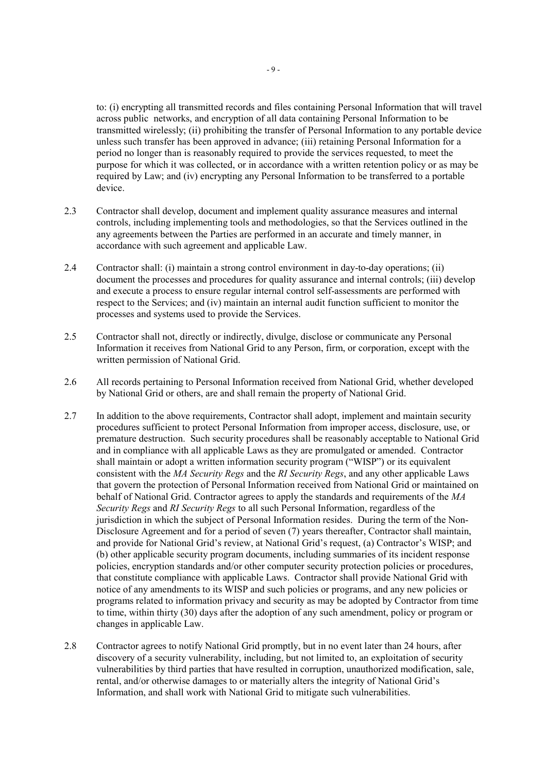to: (i) encrypting all transmitted records and files containing Personal Information that will travel across public networks, and encryption of all data containing Personal Information to be transmitted wirelessly; (ii) prohibiting the transfer of Personal Information to any portable device unless such transfer has been approved in advance; (iii) retaining Personal Information for a period no longer than is reasonably required to provide the services requested, to meet the purpose for which it was collected, or in accordance with a written retention policy or as may be required by Law; and (iv) encrypting any Personal Information to be transferred to a portable device.

- 2.3 Contractor shall develop, document and implement quality assurance measures and internal controls, including implementing tools and methodologies, so that the Services outlined in the any agreements between the Parties are performed in an accurate and timely manner, in accordance with such agreement and applicable Law.
- 2.4 Contractor shall: (i) maintain a strong control environment in day-to-day operations; (ii) document the processes and procedures for quality assurance and internal controls; (iii) develop and execute a process to ensure regular internal control self-assessments are performed with respect to the Services; and (iv) maintain an internal audit function sufficient to monitor the processes and systems used to provide the Services.
- 2.5 Contractor shall not, directly or indirectly, divulge, disclose or communicate any Personal Information it receives from National Grid to any Person, firm, or corporation, except with the written permission of National Grid.
- 2.6 All records pertaining to Personal Information received from National Grid, whether developed by National Grid or others, are and shall remain the property of National Grid.
- 2.7 In addition to the above requirements, Contractor shall adopt, implement and maintain security procedures sufficient to protect Personal Information from improper access, disclosure, use, or premature destruction. Such security procedures shall be reasonably acceptable to National Grid and in compliance with all applicable Laws as they are promulgated or amended. Contractor shall maintain or adopt a written information security program ("WISP") or its equivalent consistent with the *MA Security Regs* and the *RI Security Regs*, and any other applicable Laws that govern the protection of Personal Information received from National Grid or maintained on behalf of National Grid. Contractor agrees to apply the standards and requirements of the *MA Security Regs* and *RI Security Regs* to all such Personal Information, regardless of the jurisdiction in which the subject of Personal Information resides. During the term of the Non-Disclosure Agreement and for a period of seven (7) years thereafter, Contractor shall maintain, and provide for National Grid's review, at National Grid's request, (a) Contractor's WISP; and (b) other applicable security program documents, including summaries of its incident response policies, encryption standards and/or other computer security protection policies or procedures, that constitute compliance with applicable Laws. Contractor shall provide National Grid with notice of any amendments to its WISP and such policies or programs, and any new policies or programs related to information privacy and security as may be adopted by Contractor from time to time, within thirty (30) days after the adoption of any such amendment, policy or program or changes in applicable Law.
- 2.8 Contractor agrees to notify National Grid promptly, but in no event later than 24 hours, after discovery of a security vulnerability, including, but not limited to, an exploitation of security vulnerabilities by third parties that have resulted in corruption, unauthorized modification, sale, rental, and/or otherwise damages to or materially alters the integrity of National Grid's Information, and shall work with National Grid to mitigate such vulnerabilities.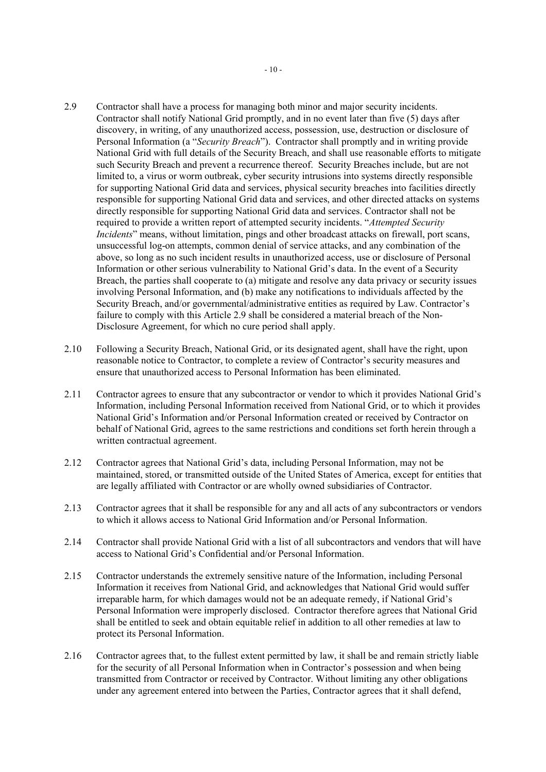- 2.9 Contractor shall have a process for managing both minor and major security incidents. Contractor shall notify National Grid promptly, and in no event later than five (5) days after discovery, in writing, of any unauthorized access, possession, use, destruction or disclosure of Personal Information (a "*Security Breach*"). Contractor shall promptly and in writing provide National Grid with full details of the Security Breach, and shall use reasonable efforts to mitigate such Security Breach and prevent a recurrence thereof. Security Breaches include, but are not limited to, a virus or worm outbreak, cyber security intrusions into systems directly responsible for supporting National Grid data and services, physical security breaches into facilities directly responsible for supporting National Grid data and services, and other directed attacks on systems directly responsible for supporting National Grid data and services. Contractor shall not be required to provide a written report of attempted security incidents. "*Attempted Security Incidents*" means, without limitation, pings and other broadcast attacks on firewall, port scans, unsuccessful log-on attempts, common denial of service attacks, and any combination of the above, so long as no such incident results in unauthorized access, use or disclosure of Personal Information or other serious vulnerability to National Grid's data. In the event of a Security Breach, the parties shall cooperate to (a) mitigate and resolve any data privacy or security issues involving Personal Information, and (b) make any notifications to individuals affected by the Security Breach, and/or governmental/administrative entities as required by Law. Contractor's failure to comply with this Article 2.9 shall be considered a material breach of the Non-Disclosure Agreement, for which no cure period shall apply.
- 2.10 Following a Security Breach, National Grid, or its designated agent, shall have the right, upon reasonable notice to Contractor, to complete a review of Contractor's security measures and ensure that unauthorized access to Personal Information has been eliminated.
- 2.11 Contractor agrees to ensure that any subcontractor or vendor to which it provides National Grid's Information, including Personal Information received from National Grid, or to which it provides National Grid's Information and/or Personal Information created or received by Contractor on behalf of National Grid, agrees to the same restrictions and conditions set forth herein through a written contractual agreement.
- 2.12 Contractor agrees that National Grid's data, including Personal Information, may not be maintained, stored, or transmitted outside of the United States of America, except for entities that are legally affiliated with Contractor or are wholly owned subsidiaries of Contractor.
- 2.13 Contractor agrees that it shall be responsible for any and all acts of any subcontractors or vendors to which it allows access to National Grid Information and/or Personal Information.
- 2.14 Contractor shall provide National Grid with a list of all subcontractors and vendors that will have access to National Grid's Confidential and/or Personal Information.
- 2.15 Contractor understands the extremely sensitive nature of the Information, including Personal Information it receives from National Grid, and acknowledges that National Grid would suffer irreparable harm, for which damages would not be an adequate remedy, if National Grid's Personal Information were improperly disclosed. Contractor therefore agrees that National Grid shall be entitled to seek and obtain equitable relief in addition to all other remedies at law to protect its Personal Information.
- 2.16 Contractor agrees that, to the fullest extent permitted by law, it shall be and remain strictly liable for the security of all Personal Information when in Contractor's possession and when being transmitted from Contractor or received by Contractor. Without limiting any other obligations under any agreement entered into between the Parties, Contractor agrees that it shall defend,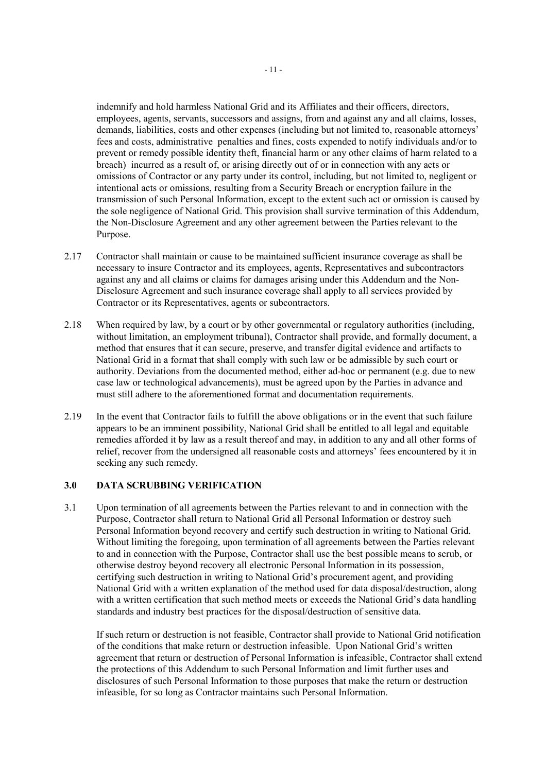indemnify and hold harmless National Grid and its Affiliates and their officers, directors, employees, agents, servants, successors and assigns, from and against any and all claims, losses, demands, liabilities, costs and other expenses (including but not limited to, reasonable attorneys' fees and costs, administrative penalties and fines, costs expended to notify individuals and/or to prevent or remedy possible identity theft, financial harm or any other claims of harm related to a breach) incurred as a result of, or arising directly out of or in connection with any acts or omissions of Contractor or any party under its control, including, but not limited to, negligent or intentional acts or omissions, resulting from a Security Breach or encryption failure in the transmission of such Personal Information, except to the extent such act or omission is caused by the sole negligence of National Grid. This provision shall survive termination of this Addendum, the Non-Disclosure Agreement and any other agreement between the Parties relevant to the Purpose.

- 2.17 Contractor shall maintain or cause to be maintained sufficient insurance coverage as shall be necessary to insure Contractor and its employees, agents, Representatives and subcontractors against any and all claims or claims for damages arising under this Addendum and the Non-Disclosure Agreement and such insurance coverage shall apply to all services provided by Contractor or its Representatives, agents or subcontractors.
- 2.18 When required by law, by a court or by other governmental or regulatory authorities (including, without limitation, an employment tribunal), Contractor shall provide, and formally document, a method that ensures that it can secure, preserve, and transfer digital evidence and artifacts to National Grid in a format that shall comply with such law or be admissible by such court or authority. Deviations from the documented method, either ad-hoc or permanent (e.g. due to new case law or technological advancements), must be agreed upon by the Parties in advance and must still adhere to the aforementioned format and documentation requirements.
- 2.19 In the event that Contractor fails to fulfill the above obligations or in the event that such failure appears to be an imminent possibility, National Grid shall be entitled to all legal and equitable remedies afforded it by law as a result thereof and may, in addition to any and all other forms of relief, recover from the undersigned all reasonable costs and attorneys' fees encountered by it in seeking any such remedy.

#### **3.0 DATA SCRUBBING VERIFICATION**

3.1 Upon termination of all agreements between the Parties relevant to and in connection with the Purpose, Contractor shall return to National Grid all Personal Information or destroy such Personal Information beyond recovery and certify such destruction in writing to National Grid. Without limiting the foregoing, upon termination of all agreements between the Parties relevant to and in connection with the Purpose, Contractor shall use the best possible means to scrub, or otherwise destroy beyond recovery all electronic Personal Information in its possession, certifying such destruction in writing to National Grid's procurement agent, and providing National Grid with a written explanation of the method used for data disposal/destruction, along with a written certification that such method meets or exceeds the National Grid's data handling standards and industry best practices for the disposal/destruction of sensitive data.

If such return or destruction is not feasible, Contractor shall provide to National Grid notification of the conditions that make return or destruction infeasible. Upon National Grid's written agreement that return or destruction of Personal Information is infeasible, Contractor shall extend the protections of this Addendum to such Personal Information and limit further uses and disclosures of such Personal Information to those purposes that make the return or destruction infeasible, for so long as Contractor maintains such Personal Information.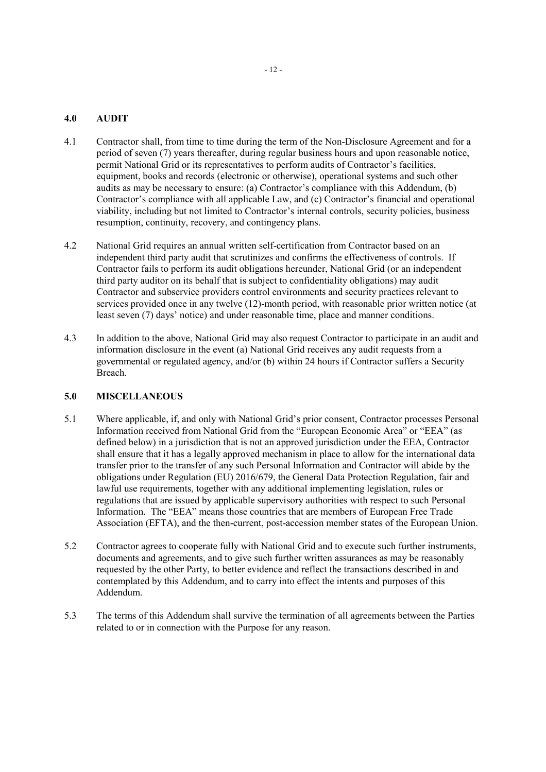## **4.0 AUDIT**

- 4.1 Contractor shall, from time to time during the term of the Non-Disclosure Agreement and for a period of seven (7) years thereafter, during regular business hours and upon reasonable notice, permit National Grid or its representatives to perform audits of Contractor's facilities, equipment, books and records (electronic or otherwise), operational systems and such other audits as may be necessary to ensure: (a) Contractor's compliance with this Addendum, (b) Contractor's compliance with all applicable Law, and (c) Contractor's financial and operational viability, including but not limited to Contractor's internal controls, security policies, business resumption, continuity, recovery, and contingency plans.
- 4.2 National Grid requires an annual written self-certification from Contractor based on an independent third party audit that scrutinizes and confirms the effectiveness of controls. If Contractor fails to perform its audit obligations hereunder, National Grid (or an independent third party auditor on its behalf that is subject to confidentiality obligations) may audit Contractor and subservice providers control environments and security practices relevant to services provided once in any twelve (12)-month period, with reasonable prior written notice (at least seven (7) days' notice) and under reasonable time, place and manner conditions.
- 4.3 In addition to the above, National Grid may also request Contractor to participate in an audit and information disclosure in the event (a) National Grid receives any audit requests from a governmental or regulated agency, and/or (b) within 24 hours if Contractor suffers a Security Breach.

## **5.0 MISCELLANEOUS**

- 5.1 Where applicable, if, and only with National Grid's prior consent, Contractor processes Personal Information received from National Grid from the "European Economic Area" or "EEA" (as defined below) in a jurisdiction that is not an approved jurisdiction under the EEA, Contractor shall ensure that it has a legally approved mechanism in place to allow for the international data transfer prior to the transfer of any such Personal Information and Contractor will abide by the obligations under Regulation (EU) 2016/679, the General Data Protection Regulation, fair and lawful use requirements, together with any additional implementing legislation, rules or regulations that are issued by applicable supervisory authorities with respect to such Personal Information. The "EEA" means those countries that are members of European Free Trade Association (EFTA), and the then-current, post-accession member states of the European Union.
- 5.2 Contractor agrees to cooperate fully with National Grid and to execute such further instruments, documents and agreements, and to give such further written assurances as may be reasonably requested by the other Party, to better evidence and reflect the transactions described in and contemplated by this Addendum, and to carry into effect the intents and purposes of this Addendum.
- 5.3 The terms of this Addendum shall survive the termination of all agreements between the Parties related to or in connection with the Purpose for any reason.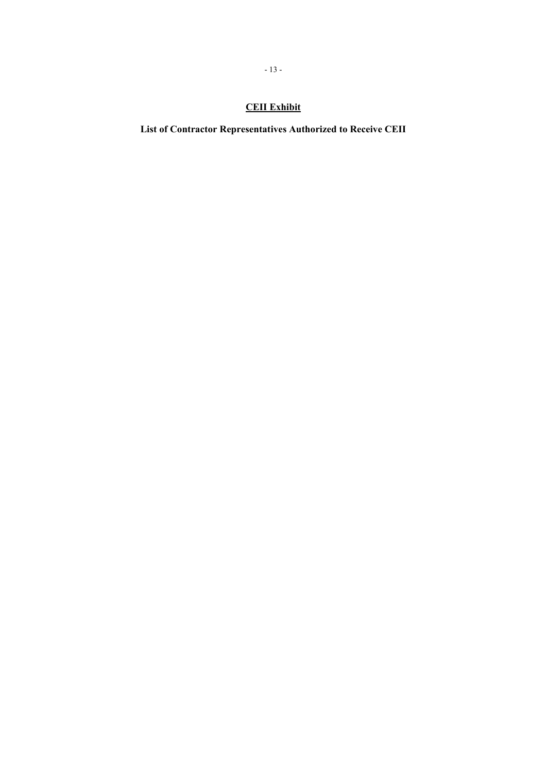# **CEII Exhibit**

**List of Contractor Representatives Authorized to Receive CEII**